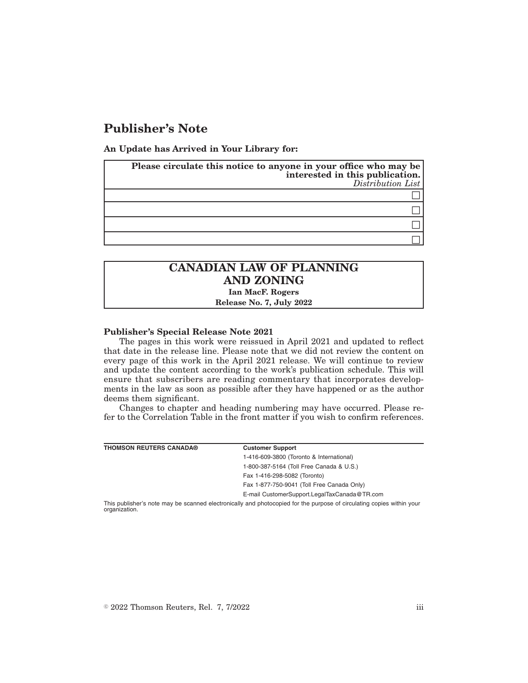# **Publisher's Note**

**An Update has Arrived in Your Library for:**

| Please circulate this notice to anyone in your office who may be<br>interested in this publication.<br>Distribution List |
|--------------------------------------------------------------------------------------------------------------------------|
|                                                                                                                          |
|                                                                                                                          |
|                                                                                                                          |
|                                                                                                                          |

## **CANADIAN LAW OF PLANNING AND ZONING Ian MacF. Rogers**

**Release No. 7, July 2022**

#### **Publisher's Special Release Note 2021**

The pages in this work were reissued in April 2021 and updated to reflect that date in the release line. Please note that we did not review the content on every page of this work in the April 2021 release. We will continue to review and update the content according to the work's publication schedule. This will ensure that subscribers are reading commentary that incorporates developments in the law as soon as possible after they have happened or as the author deems them significant.

Changes to chapter and heading numbering may have occurred. Please refer to the Correlation Table in the front matter if you wish to confirm references.

| <b>THOMSON REUTERS CANADA®</b> | <b>Customer Support</b>                                                                                               |
|--------------------------------|-----------------------------------------------------------------------------------------------------------------------|
|                                | 1-416-609-3800 (Toronto & International)                                                                              |
|                                | 1-800-387-5164 (Toll Free Canada & U.S.)                                                                              |
|                                | Fax 1-416-298-5082 (Toronto)                                                                                          |
|                                | Fax 1-877-750-9041 (Toll Free Canada Only)                                                                            |
|                                | E-mail CustomerSupport.LegalTaxCanada@TR.com                                                                          |
|                                | This nublisher's note may be scanned electronically and photoconied for the nurnose of circulating conies within your |

anned electronically and photocopied for the purpose of circulating copies within your organization.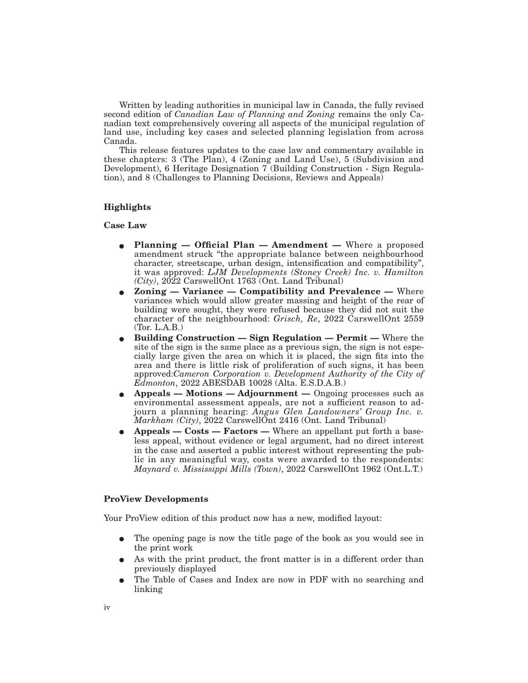Written by leading authorities in municipal law in Canada, the fully revised second edition of *Canadian Law of Planning and Zoning* remains the only Canadian text comprehensively covering all aspects of the municipal regulation of land use, including key cases and selected planning legislation from across Canada.

This release features updates to the case law and commentary available in these chapters: 3 (The Plan), 4 (Zoning and Land Use), 5 (Subdivision and Development), 6 Heritage Designation 7 (Building Construction - Sign Regulation), and 8 (Challenges to Planning Decisions, Reviews and Appeals)

#### **Highlights**

#### **Case Law**

- Planning Official Plan Amendment Where a proposed amendment struck "the appropriate balance between neighbourhood character, streetscape, urban design, intensification and compatibility", it was approved: *LJM Developments (Stoney Creek) Inc. v. Hamilton (City)*, 2022 CarswellOnt 1763 (Ont. Land Tribunal)
- **Example 3 Exercise 2** Compatibility and Prevalence Where variances which would allow greater massing and height of the rear of building were sought, they were refused because they did not suit the character of the neighbourhood: *Grisch, Re*, 2022 CarswellOnt 2559 (Tor. L.A.B.)
- E **Building Construction Sign Regulation Permit —** Where the site of the sign is the same place as a previous sign, the sign is not especially large given the area on which it is placed, the sign fits into the area and there is little risk of proliferation of such signs, it has been approved:*Cameron Corporation v. Development Authority of the City of Edmonton*, 2022 ABESDAB 10028 (Alta. E.S.D.A.B.)
- E **Appeals Motions Adjournment —** Ongoing processes such as environmental assessment appeals, are not a sufficient reason to adjourn a planning hearing: *Angus Glen Landowners' Group Inc. v. Markham (City)*, 2022 CarswellOnt 2416 (Ont. Land Tribunal)
- **•** Appeals Costs Factors Where an appellant put forth a baseless appeal, without evidence or legal argument, had no direct interest in the case and asserted a public interest without representing the public in any meaningful way, costs were awarded to the respondents: *Maynard v. Mississippi Mills (Town)*, 2022 CarswellOnt 1962 (Ont.L.T.)

### **ProView Developments**

Your ProView edition of this product now has a new, modified layout:

- The opening page is now the title page of the book as you would see in the print work
- As with the print product, the front matter is in a different order than previously displayed
- E The Table of Cases and Index are now in PDF with no searching and linking